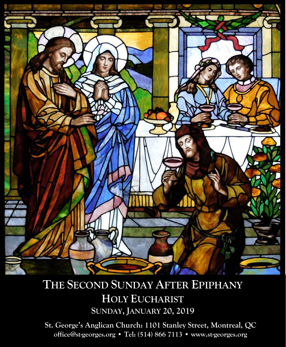

# **THE SECOND SUNDAY AFTER EPIPHANY HOLY EUCHARIST SUNDAY, JANUARY 20, 2019**

**St. George's Anglican Church: 1101 Stanley Street, Montreal, QC office@st-georges.org • Tel: (514) 866 7113 • www.st-georges.org**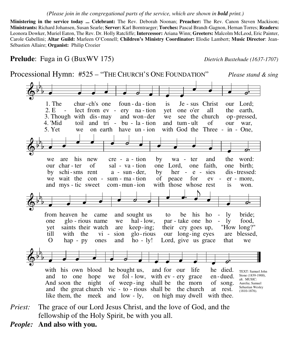### *(Please join in the congregational parts of the service, which are shown in bold print.)*

**Ministering in the service today ... Celebrant:** The Rev. Deborah Noonan; **Preacher:** The Rev. Canon Steven Mackison; **Ministrants:** Richard Johansen, Susan Searle; **Server:** Karl Borntraeger; **Torches:** Pascal Brandt-Gagnon, Hernan Torres; **Readers:** Leonora Dowker, Muriel Eaton, The Rev. Dr. Holly Ratcliffe; **Intercessor:** Ariana Winn; **Greeters:** Malcolm McLeod, Eric Painter, Carole Gabellini; **Altar Guild:** Marleen O'Connell; **Children's Ministry Coordinator:** Elodie Lambert; **Music Director**: Jean-Sébastien Allaire; **Organist:** Philip Crozier

## **Prelude**: Fuga in G (BuxWV 175) *Dietrich Buxtehude (1637-1707)*

5. Yet we on earth have un - ion with God the Three - in - One, 4. 'Mid toil and tri - bu - la - tion and tum - ult of our war, 3. Though with dis-may and won-der we see the church op-pressed, 2. E - lect from ev - ery na - tion yet one o'er all the earth, 1. The chur-ch's one foun-da-tion is  $Je$ -sus Christ our Lord;  $\breve \Phi$ 5 b  $\overrightarrow{a}$  ,  $\overrightarrow{b}$  ,  $\overrightarrow{c}$  ,  $\overrightarrow{a}$  ,  $\overrightarrow{a}$  and mys-tic sweet com-mun-ion with those whose rest is won. we wait the con - sum -  $ma$  - tion of peace for  $ev - er$  - more, by schi-sms rent  $a - \text{sun-}$  der, by her - e - sies dis-tressed: our char ter  $of$  sal - va - tion one Lord, one faith, one birth; we are his new cre  $-a$  - tion by wa - ter and the word:  $\breve \Phi$ 5  $\frac{1}{2}$  $\frac{1}{2}$   $\overline{\phantom{0}}$  $\overline{\phantom{a}}$   $\overline{\phantom{a}}$ O hap - py ones and ho - ly! Lord, give us grace that we till with the vi - sion glo-rious our long-ing eyes are blessed, yet saints their watch are keep-ing; their cry goes up, "How long?" one glo-rious name we hal-low, par-take one ho - ly food, from heaven he came and sought us to be his ho - ly bride;  $\breve \Phi$ 6 b  $\frac{1}{2}$  $\overrightarrow{a}$   $\overrightarrow{b}$   $\overrightarrow{c}$   $\overrightarrow{c}$   $\overrightarrow{c}$  $\overrightarrow{a}$ with those whose rest  $\bullet$  $\overline{\phantom{a}}$   $\overline{\phantom{a}}$ like them, the meek and low - ly, on high may dwell with thee. and the great church vic  $-$  to  $-$  rious shall be the church at rest. And soon the night of weep-ing shall be the morn of song. and to one hope we fol-low, with ev - ery grace en-dued. with his own blood he bought us, and for our life he died.  $\breve \Phi$ 5  $\frac{1}{2}$  $\frac{1}{2}$  $\overrightarrow{a}$   $\overrightarrow{b}$   $\overrightarrow{c}$   $\overrightarrow{d}$   $\overrightarrow{d}$   $\overrightarrow{d}$   $\overrightarrow{d}$   $\overrightarrow{c}$ Processional Hymn: #525 – "THE CHURCH'S ONE FOUNDATION" *Please stand & sing*  TEXT: Samuel John Stone (1839-1900), alt. MUSIC: Aurelia; Samuel Sebastian Wesley (1810-1876).

*Priest:* The grace of our Lord Jesus Christ, and the love of God, and the fellowship of the Holy Spirit, be with you all.

*People:* **And also with you.**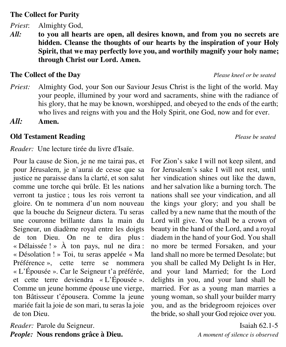# **The Collect for Purity**

*Priest*: Almighty God,

*All:* **to you all hearts are open, all desires known, and from you no secrets are hidden. Cleanse the thoughts of our hearts by the inspiration of your Holy Spirit, that we may perfectly love you, and worthily magnify your holy name; through Christ our Lord. Amen.** 

# **The Collect of the Day** *Please kneel or be seated*

- *Priest:* Almighty God, your Son our Saviour Jesus Christ is the light of the world. May your people, illumined by your word and sacraments, shine with the radiance of his glory, that he may be known, worshipped, and obeyed to the ends of the earth; who lives and reigns with you and the Holy Spirit, one God, now and for ever.
- *All:* **Amen.**

# **Old Testament Reading** *Please be seated*

*Reader:* Une lecture tirée du livre d'Isaïe.

Pour la cause de Sion, je ne me tairai pas, et pour Jérusalem, je n'aurai de cesse que sa justice ne paraisse dans la clarté, et son salut comme une torche qui brûle. Et les nations verront ta justice ; tous les rois verront ta gloire. On te nommera d'un nom nouveau que la bouche du Seigneur dictera. Tu seras une couronne brillante dans la main du Seigneur, un diadème royal entre les doigts de ton Dieu. On ne te dira plus : « Délaissée ! » À ton pays, nul ne dira : « Désolation ! » Toi, tu seras appelée « Ma Préférence », cette terre se nommera « L'Épousée ». Car le Seigneur t'a préférée, et cette terre deviendra « L'Épousée ». Comme un jeune homme épouse une vierge, ton Bâtisseur t'épousera. Comme la jeune mariée fait la joie de son mari, tu seras la joie de ton Dieu.

*Reader:* Parole du Seigneur. Isaiah 62.1-5 *People:* **Nous rendons grâce à Dieu.** *A moment of silence is observed*

For Zion's sake I will not keep silent, and for Jerusalem's sake I will not rest, until her vindication shines out like the dawn, and her salvation like a burning torch. The nations shall see your vindication, and all the kings your glory; and you shall be called by a new name that the mouth of the Lord will give. You shall be a crown of beauty in the hand of the Lord, and a royal diadem in the hand of your God. You shall no more be termed Forsaken, and your land shall no more be termed Desolate; but you shall be called My Delight Is in Her, and your land Married; for the Lord delights in you, and your land shall be married. For as a young man marries a young woman, so shall your builder marry you, and as the bridegroom rejoices over the bride, so shall your God rejoice over you.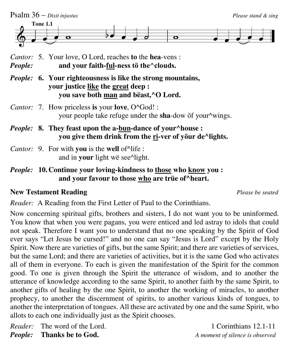

- *Cantor:* 7. How priceless **is** your **love**, O^God! : your people take refuge under the **sha**-dow ӧf your^wings.
- *People:* 8. They feast upon the a-bun-dance of your^house :  **you give them drink from the ri-ver of yӧur de^lights.**
- *Cantor:* 9. For with **you** is the **well** of^life : and in **your** light wë see^light.

# *People:* **10. Continue your loving-kindness to those who know you : and your favour to those who are trüe of^heart.**

# **New Testament Reading** *Please be seated*

*Reader:* A Reading from the First Letter of Paul to the Corinthians.

Now concerning spiritual gifts, brothers and sisters, I do not want you to be uninformed. You know that when you were pagans, you were enticed and led astray to idols that could not speak. Therefore I want you to understand that no one speaking by the Spirit of God ever says "Let Jesus be cursed!" and no one can say "Jesus is Lord" except by the Holy Spirit. Now there are varieties of gifts, but the same Spirit; and there are varieties of services, but the same Lord; and there are varieties of activities, but it is the same God who activates all of them in everyone. To each is given the manifestation of the Spirit for the common good. To one is given through the Spirit the utterance of wisdom, and to another the utterance of knowledge according to the same Spirit, to another faith by the same Spirit, to another gifts of healing by the one Spirit, to another the working of miracles, to another prophecy, to another the discernment of spirits, to another various kinds of tongues, to another the interpretation of tongues. All these are activated by one and the same Spirit, who allots to each one individually just as the Spirit chooses.

*Reader:* The word of the Lord. 1 Corinthians 12.1-11

*People:* **Thanks be to God.** *A moment of silence is observed*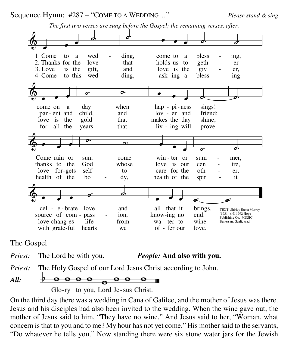Sequence Hymn: #287 – "COME TO A WEDDING…" *Please stand & sing* 

4. Come to this wed - ding, ask-ing a bless - ing 3. Love is the gift, and love is the giv - er, 1. Come to a wed - ding, come to a bless - ing, 2. Thanks for the love that holds us to - geth - er 1. Come to a wed - ding, come to a bless - ing,  $\oint$ .  $\overline{\phantom{a}}$  $\blacksquare$ The first two verses are sung before the Gospel; the remaining verses, after. for all the years that liv ing will prove: love is the gold that makes the day shine; par ent and child, and  $\frac{1}{v}$  and  $\frac{1}{v}$  er and friend; come on a day when hap - pi-ness sings!  $\oint$ ...  $\frac{1}{\bullet}$  $\overline{\phantom{a}}$ health of the  $\overline{b}$  bo - dy, health of the spir - it love for-gets self to care for the oth - er, thanks to the God whose love is our cen - tre, Come rain or sun, come win ter or sum - mer,  $\frac{2}{9}$  .  $\overline{\phantom{a}}$  $\overline{\phantom{0}}$ O.  $\overline{\phantom{a}}$  $\overline{\phantom{0}}$  $\overrightarrow{a}$   $\overrightarrow{a}$ with grate-ful hearts we of - fer our love. love chang-es life from wa - ter to wine. source of com - pass - ion, know-ing no end. cel - e-brate love and all that it brings.  $\circ$  . .  $\overline{\phantom{a}}$   $\overline{\phantom{a}}$  $\overrightarrow{c}$ TEXT: Shirley Erena Murray (1931- ). © 1992 Hope Publishing Co. MUSIC: Bunessan; Gaelic trad.

The Gospel

*Priest:* The Lord be with you. *People:* **And also with you.**

*Priest:* The Holy Gospel of our Lord Jesus Christ according to John.

*All:* 

Glo-ry to you, Lord Je-sus Christ.

On the third day there was a wedding in Cana of Galilee, and the mother of Jesus was there. Jesus and his disciples had also been invited to the wedding. When the wine gave out, the mother of Jesus said to him, "They have no wine." And Jesus said to her, "Woman, what concern is that to you and to me? My hour has not yet come." His mother said to the servants, "Do whatever he tells you." Now standing there were six stone water jars for the Jewish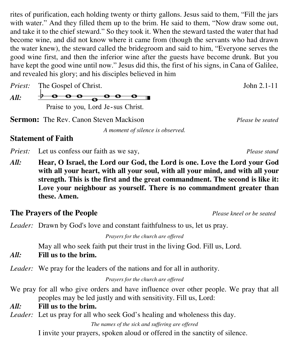rites of purification, each holding twenty or thirty gallons. Jesus said to them, "Fill the jars with water." And they filled them up to the brim. He said to them, "Now draw some out, and take it to the chief steward." So they took it. When the steward tasted the water that had become wine, and did not know where it came from (though the servants who had drawn the water knew), the steward called the bridegroom and said to him, "Everyone serves the good wine first, and then the inferior wine after the guests have become drunk. But you have kept the good wine until now." Jesus did this, the first of his signs, in Cana of Galilee, and revealed his glory; and his disciples believed in him

*Priest:* The Gospel of Christ. John 2.1-11

*All:* 

 $\frac{\partial}{\partial \theta}$   $\frac{\partial}{\partial \theta}$   $\frac{\partial}{\partial \theta}$   $\frac{\partial}{\partial \theta}$   $\frac{\partial}{\partial \theta}$ Praise to you, Lord Je-sus Christ.

**Sermon:** The Rev. Canon Steven Mackison *Please be seated*

*A moment of silence is observed.*

# **Statement of Faith**

*Priest:* Let us confess our faith as we say, *Please stand* 

*All:* **Hear, O Israel, the Lord our God, the Lord is one. Love the Lord your God with all your heart, with all your soul, with all your mind, and with all your strength. This is the first and the great commandment. The second is like it: Love your neighbour as yourself. There is no commandment greater than these. Amen.**

# **The Prayers of the People** *Please kneel or be seated*

*Leader:* Drawn by God's love and constant faithfulness to us, let us pray.

*Prayers for the church are offered*

May all who seek faith put their trust in the living God. Fill us, Lord.

*All:* **Fill us to the brim.**

*Leader:* We pray for the leaders of the nations and for all in authority.

*Prayers for the church are offered*

- We pray for all who give orders and have influence over other people. We pray that all peoples may be led justly and with sensitivity. Fill us, Lord:
- *All:* **Fill us to the brim.**

*Leader:* Let us pray for all who seek God's healing and wholeness this day.

*The names of the sick and suffering are offered*

I invite your prayers, spoken aloud or offered in the sanctity of silence.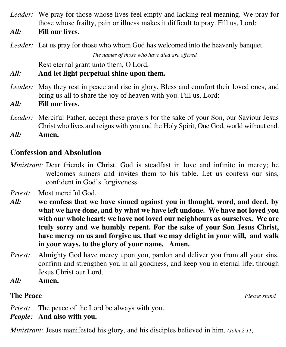- *Leader:* We pray for those whose lives feel empty and lacking real meaning. We pray for those whose frailty, pain or illness makes it difficult to pray. Fill us, Lord:
- *All:* **Fill our lives.**

*Leader:* Let us pray for those who whom God has welcomed into the heavenly banquet.

*The names of those who have died are offered*

Rest eternal grant unto them, O Lord.

# *All:* **And let light perpetual shine upon them.**

- *Leader:* May they rest in peace and rise in glory. Bless and comfort their loved ones, and bring us all to share the joy of heaven with you. Fill us, Lord:
- *All:* **Fill our lives.**
- *Leader:* Merciful Father, accept these prayers for the sake of your Son, our Saviour Jesus Christ who lives and reigns with you and the Holy Spirit, One God, world without end.

*All:* **Amen.**

# **Confession and Absolution**

- *Ministrant:* Dear friends in Christ, God is steadfast in love and infinite in mercy; he welcomes sinners and invites them to his table. Let us confess our sins, confident in God's forgiveness.
- *Priest:* Most merciful God,
- *All:* **we confess that we have sinned against you in thought, word, and deed, by what we have done, and by what we have left undone. We have not loved you with our whole heart; we have not loved our neighbours as ourselves. We are truly sorry and we humbly repent. For the sake of your Son Jesus Christ, have mercy on us and forgive us, that we may delight in your will, and walk in your ways, to the glory of your name. Amen.**
- *Priest:* Almighty God have mercy upon you, pardon and deliver you from all your sins, confirm and strengthen you in all goodness, and keep you in eternal life; through Jesus Christ our Lord.
- *All:* **Amen.**

# **The Peace** *Please stand*

*Priest:* The peace of the Lord be always with you. *People:* **And also with you.**

*Ministrant:* Jesus manifested his glory, and his disciples believed in him. *(John 2.11)*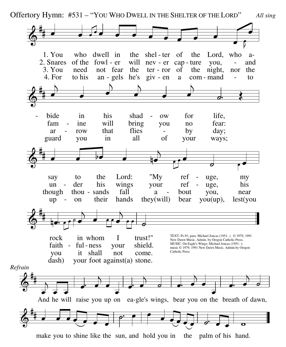Offertory Hymn: #531 – "YOU WHO DWELL IN THE SHELTER OF THE LORD" *All sing*



make you to shine like the sun, and hold you in the palm of his hand.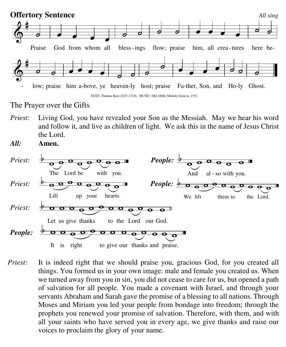

The Prayer over the Gifts

*Priest:* Living God, you have revealed your Son as the Messiah. May we hear his word and follow it, and live as children of light. We ask this in the name of Jesus Christ the Lord.

*All:* **Amen.**



*Priest:* It is indeed right that we should praise you, gracious God, for you created all things. You formed us in your own image: male and female you created us. When we turned away from you in sin, you did not cease to care for us, but opened a path of salvation for all people. You made a covenant with Israel, and through your servants Abraham and Sarah gave the promise of a blessing to all nations. Through Moses and Miriam you led your people from bondage into freedom; through the prophets you renewed your promise of salvation. Therefore, with them, and with all your saints who have served you in every age, we give thanks and raise our voices to proclaim the glory of your name.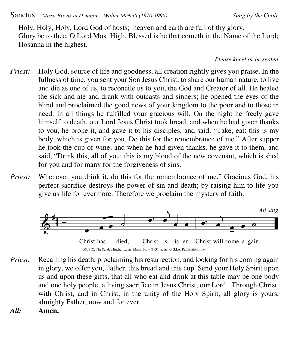Sanctus *- Missa Brevis in D major – Walter McNutt (1910-1996) Sung by the Choir*

Holy, Holy, Holy, Lord God of hosts; heaven and earth are full of thy glory. Glory be to thee, O Lord Most High. Blessed is he that cometh in the Name of the Lord; Hosanna in the highest.

### *Please kneel or be seated*

- *Priest:* Holy God, source of life and goodness, all creation rightly gives you praise. In the fullness of time, you sent your Son Jesus Christ, to share our human nature, to live and die as one of us, to reconcile us to you, the God and Creator of all. He healed the sick and ate and drank with outcasts and sinners; he opened the eyes of the blind and proclaimed the good news of your kingdom to the poor and to those in need. In all things he fulfilled your gracious will. On the night he freely gave himself to death, our Lord Jesus Christ took bread, and when he had given thanks to you, he broke it, and gave it to his disciples, and said, "Take, eat: this is my body, which is given for you. Do this for the remembrance of me." After supper he took the cup of wine; and when he had given thanks, he gave it to them, and said, "Drink this, all of you: this is my blood of the new covenant, which is shed for you and for many for the forgiveness of sins.
- *Priest:* Whenever you drink it, do this for the remembrance of me." Gracious God, his perfect sacrifice destroys the power of sin and death; by raising him to life you give us life for evermore. Therefore we proclaim the mystery of faith:





- *Priest:* Recalling his death, proclaiming his resurrection, and looking for his coming again in glory, we offer you, Father, this bread and this cup. Send your Holy Spirit upon us and upon these gifts, that all who eat and drink at this table may be one body and one holy people, a living sacrifice in Jesus Christ, our Lord. Through Christ, with Christ, and in Christ, in the unity of the Holy Spirit, all glory is yours, almighty Father, now and for ever.
- *All:* **Amen.**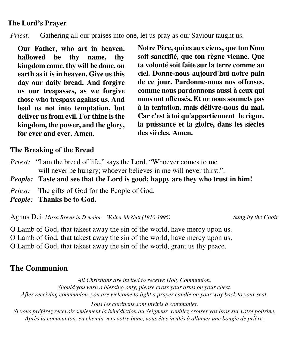# **The Lord's Prayer**

*Priest:* Gathering all our praises into one, let us pray as our Saviour taught us.

**Our Father, who art in heaven, hallowed be thy name, thy kingdom come, thy will be done, on earth as it is in heaven. Give us this day our daily bread. And forgive us our trespasses, as we forgive those who trespass against us. And lead us not into temptation, but deliver us from evil. For thine is the kingdom, the power, and the glory, for ever and ever. Amen.**

**Notre Père, qui es aux cieux, que ton Nom soit sanctifié, que ton règne vienne. Que ta volonté soit faite sur la terre comme au ciel. Donne-nous aujourd'hui notre pain de ce jour. Pardonne-nous nos offenses, comme nous pardonnons aussi à ceux qui nous ont offensés. Et ne nous soumets pas à la tentation, mais délivre-nous du mal. Car c'est à toi qu'appartiennent le règne, la puissance et la gloire, dans les siècles des siècles. Amen.**

# **The Breaking of the Bread**

- *Priest:* "I am the bread of life," says the Lord. "Whoever comes to me will never be hungry; whoever believes in me will never thirst.".
- *People:* **Taste and see that the Lord is good; happy are they who trust in him!**
- *Priest:* The gifts of God for the People of God.
- *People:* **Thanks be to God.**

Agnus Dei*- Missa Brevis in D major – Walter McNutt (1910-1996) Sung by the Choir* 

O Lamb of God, that takest away the sin of the world, have mercy upon us. O Lamb of God, that takest away the sin of the world, have mercy upon us. O Lamb of God, that takest away the sin of the world, grant us thy peace.

# **The Communion**

*All Christians are invited to receive Holy Communion. Should you wish a blessing only, please cross your arms on your chest. After receiving communion you are welcome to light a prayer candle on your way back to your seat.*

*Tous les chrétiens sont invités à communier.* 

*Si vous préférez recevoir seulement la bénédiction du Seigneur, veuillez croiser vos bras sur votre poitrine. Après la communion, en chemin vers votre banc, vous êtes invités à allumer une bougie de prière.*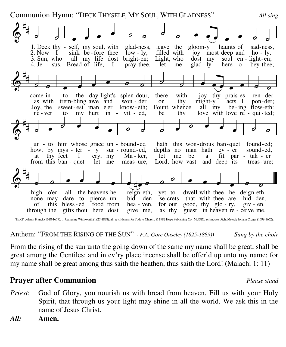」<br># Communion Hymn: "DECK THYSELF, MY SOUL, WITH GLADNESS" *All sing*

4. Je - sus, Bread of life, I pray thee, let me glad - ly here o - bey thee; 2. Now I sink be-fore thee  $\overline{low}$  - ly, filled with  $\overline{joy}$  most deep and  $\overline{ho}$  - ly, 3. Sun, who all my life dost bright-en; Light, who dost my soul en - light-en; 2. Now I sink be - fore thee  $\overline{a}$  low - ly, filled with joy most deep and ho - ly, 1. Deck thy - self, my soul, with glad-ness, leave the gloom y- haunts of sad-ness,  $\breve \Phi$  $\circ$   $\circ$   $\circ$   $\circ$  $\overrightarrow{0}$  $\overline{\phantom{0}}$  $\overline{\phantom{a}}$  $\overrightarrow{a}$ ne - ver to my hurt in - vit - ed, be thy love with love re - qui-ted; Joy, the sweet-est man e'er know-eth: Fount, whence all my be-ing flow-eth: as with trem-bling awe and won-der on thy might-y-acts I pon-der; come in  $-$  to the day-light's splen-dour, there with joy thy praises ren-der  $\breve \Phi$  $\frac{1}{2}$  $\frac{1}{2}$  $\circ$   $\circ$   $\circ$   $\circ$  $\begin{array}{|c|c|c|c|}\n\hline\n\bullet & \circ & \circ \\\hline\n\end{array}$  $\overline{a}$  $\overline{\phantom{a}}$  $\overline{\phantom{a}}$   $\overline{\phantom{a}}$   $\overline{\phantom{a}}$   $\overline{\phantom{a}}$ from this ban - quet let me meas-ure, Lord, how vast and deep its treas-ure; at thy feet I cry, my Ma-ker, let me be a fit par - tak - er how, by mys - ter - y sur - round-ed, depths no man hath ev - er sound-ed, un - to him whose grace un - bound  $-$  ed hath this won-drous ban-quet found  $-$ ed;  $\breve \Phi$  $\frac{1}{4}$ |<br>|}  $\overline{\phantom{a}}$  $\overrightarrow{a}$  $\bullet$   $\circ$   $\circ$   $\circ$  $\overrightarrow{ }$  $\overrightarrow{a}$ through the gifts thou here dost give me, as thy guest in heaven re - ceive me. of this bless ed  $\epsilon$  food from hea - ven, for our good, thy glo - ry, giv - en. none may dare to pierce un - bid - den se-crets that with thee are hid - den. high o'er all the heavens he reign-eth, yet to dwell with thee he deign-eth.  $\breve \Phi$  $\frac{1}{2}$ |<br>|}  $\circ$   $\circ$   $\circ$   $\circ$   $\circ$   $\circ$   $\circ$  $\overrightarrow{a}$ 

TEXT: Johann Franck (1618-1677); tr. Catherine Winkworth (1827-1878), alt. rev. Hymns for Todays Church. © 1982 Hope Publishing Co. MUSIC: Schmucke Dich; Melody Johann Cruger (1598-1662).

Anthem: "FROM THE RISING OF THE SUN" - *F.A. Gore Ouseley (1825-1889)) Sung by the choir*

From the rising of the sun unto the going down of the same my name shall be great, shall be great among the Gentiles; and in ev'ry place incense shall be offer'd up unto my name: for my name shall be great among thus saith the heathen, thus saith the Lord! (Malachi 1: 11)

# **Prayer after Communion** *Please stand*

- *Priest*: God of Glory, you nourish us with bread from heaven. Fill us with your Holy Spirit, that through us your light may shine in all the world. We ask this in the name of Jesus Christ.
- *All:* **Amen.**

|<br>|}

 $\overline{a}$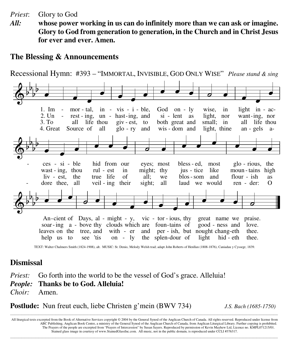*Priest*: Glory to God

*All:* **whose power working in us can do infinitely more than we can ask or imagine. Glory to God from generation to generation, in the Church and in Christ Jesus for ever and ever. Amen.**

# **The Blessing & Announcements**

Recessional Hymn: #393 – "IMMORTAL, INVISIBLE, GOD ONLY WISE" *Please stand & sing*



TEXT: Walter Chalmers Smith (1824-1908), alt. MUSIC: St. Denio, Melody Welsh trad; adapt John Roberts of Henllan (1808-1876), Caniadau y Cyssegr, 1839.

# **Dismissal**

*Priest:* Go forth into the world to be the vessel of God's grace. Alleluia! *People:* **Thanks be to God. Alleluia!** *Choir:* Amen.

**Postlude:** Nun freut euch, liebe Christen g'mein (BWV 734) *J.S. Bach (1685-1750)*

All liturgical texts excerpted from the Book of Alternative Services copyright © 2004 by the General Synod of the Anglican Church of Canada. All rights reserved. Reproduced under license from ABC Publishing, Anglican Book Centre, a ministry of the General Synod of the Anglican Church of Canada, from Anglican Liturgical Library. Further copying is prohibited. The Prayers of the people are excerpted from "Prayers of Intercession" by Susan Sayers. Reproduced by permission of Kevin Mayhew Ltd, Licence no. KMPL071215/01. Stained glass image in courtesy of www.StainedGlassInc.com. All music, not in the public domain, is reproduced under CCLI #376317.

**\_\_\_\_\_\_\_\_\_\_\_\_\_\_\_\_\_\_\_\_\_\_\_\_\_\_\_\_\_\_\_\_\_\_\_\_\_\_\_\_\_\_\_\_\_\_\_\_\_\_\_\_\_\_\_\_\_\_\_\_\_\_\_\_\_\_\_\_\_\_\_\_\_\_\_\_\_\_\_\_\_\_\_\_\_\_\_\_\_\_\_\_\_\_\_\_\_\_\_\_\_\_\_\_\_\_\_\_\_\_\_\_\_\_\_\_\_\_\_\_\_\_\_\_\_\_\_\_\_\_\_\_\_\_\_\_\_\_\_\_\_\_\_\_\_\_\_\_\_\_\_\_\_\_\_\_\_\_\_\_\_\_\_\_\_\_\_\_\_\_\_\_\_\_\_\_\_\_\_\_\_\_\_\_\_\_\_\_\_\_\_\_\_\_\_\_\_\_\_\_\_\_\_\_\_\_\_\_\_\_\_\_\_\_\_\_\_\_\_\_\_\_\_\_\_\_\_\_\_\_\_\_\_\_\_\_**

**\_\_\_\_\_\_\_\_\_\_\_\_\_\_\_\_\_\_\_\_\_\_\_\_\_\_\_\_\_\_\_\_\_\_\_\_\_\_\_\_\_\_\_\_\_\_\_\_\_\_\_\_\_\_\_\_\_\_\_\_\_\_\_\_\_\_\_\_\_\_\_\_\_\_\_\_\_\_\_\_\_\_\_\_\_\_\_\_\_\_\_\_\_\_\_\_\_\_\_\_\_\_\_\_\_\_\_\_\_\_\_\_\_\_\_\_\_\_\_\_\_\_\_\_\_\_\_\_\_\_\_\_\_\_\_\_\_\_\_\_\_\_\_\_\_\_\_\_\_\_\_\_\_\_\_\_\_\_\_\_\_\_\_\_\_\_\_\_\_\_\_\_\_\_\_\_\_\_\_\_\_\_\_\_\_\_\_\_\_\_\_\_\_\_\_\_\_\_\_\_\_\_\_\_\_\_\_\_\_\_\_\_\_\_\_\_\_\_\_\_\_\_\_\_\_\_\_\_\_\_\_\_\_\_\_\_**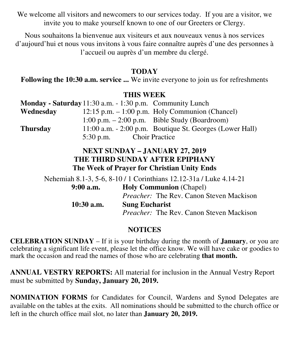We welcome all visitors and newcomers to our services today. If you are a visitor, we invite you to make yourself known to one of our Greeters or Clergy.

Nous souhaitons la bienvenue aux visiteurs et aux nouveaux venus à nos services d'aujourd'hui et nous vous invitons à vous faire connaître auprès d'une des personnes à l'accueil ou auprès d'un membre du clergé.

# **TODAY**

**Following the 10:30 a.m. service ...** We invite everyone to join us for refreshments

## **THIS WEEK**

|                 | Monday - Saturday 11:30 a.m. - 1:30 p.m. Community Lunch |                                                             |
|-----------------|----------------------------------------------------------|-------------------------------------------------------------|
| Wednesday       |                                                          | 12:15 p.m. $-1:00$ p.m. Holy Communion (Chancel)            |
|                 |                                                          | 1:00 p.m. $-$ 2:00 p.m. Bible Study (Boardroom)             |
| <b>Thursday</b> |                                                          | $11:00$ a.m. $-2:00$ p.m. Boutique St. Georges (Lower Hall) |
|                 | $5:30$ p.m.                                              | <b>Choir Practice</b>                                       |

# **NEXT SUNDAY – JANUARY 27, 2019 THE THIRD SUNDAY AFTER EPIPHANY The Week of Prayer for Christian Unity Ends**

Nehemiah 8.1-3, 5-6, 8-10 / 1 Corinthians 12.12-31a / Luke 4.14-21  **9:00 a.m. Holy Communion** (Chapel) *Preacher:* The Rev. Canon Steven Mackison  **10:30 a.m. Sung Eucharist** *Preacher:* The Rev. Canon Steven Mackison

# **NOTICES**

**CELEBRATION SUNDAY** – If it is your birthday during the month of **January**, or you are celebrating a significant life event, please let the office know. We will have cake or goodies to mark the occasion and read the names of those who are celebrating **that month.** 

**ANNUAL VESTRY REPORTS:** All material for inclusion in the Annual Vestry Report must be submitted by **Sunday, January 20, 2019.** 

**NOMINATION FORMS** for Candidates for Council, Wardens and Synod Delegates are available on the tables at the exits. All nominations should be submitted to the church office or left in the church office mail slot, no later than **January 20, 2019.**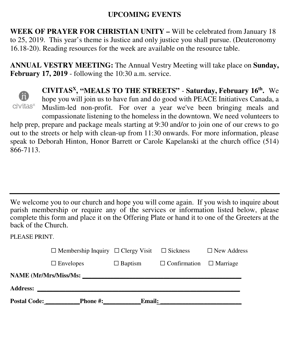# **UPCOMING EVENTS**

**WEEK OF PRAYER FOR CHRISTIAN UNITY –** Will be celebrated from January 18 to 25, 2019. This year's theme is Justice and only justice you shall pursue. (Deuteronomy 16.18-20). Reading resources for the week are available on the resource table.

**ANNUAL VESTRY MEETING:** The Annual Vestry Meeting will take place on **Sunday, February 17, 2019** - following the 10:30 a.m. service.



**CIVITAS<sup>X</sup>, "MEALS TO THE STREETS"** - **Saturday, February 16th .** We hope you will join us to have fun and do good with PEACE Initiatives Canada, a Muslim-led non-profit. For over a year we've been bringing meals and compassionate listening to the homeless in the downtown. We need volunteers to help prep, prepare and package meals starting at 9:30 and/or to join one of our crews to go

out to the streets or help with clean-up from 11:30 onwards. For more information, please speak to Deborah Hinton, Honor Barrett or Carole Kapelanski at the church office (514) 866-7113.

We welcome you to our church and hope you will come again. If you wish to inquire about parish membership or require any of the services or information listed below, please complete this form and place it on the Offering Plate or hand it to one of the Greeters at the back of the Church.

PLEASE PRINT.

|                              | $\Box$ Membership Inquiry $\Box$ Clergy Visit |                | $\Box$ Sickness     | $\Box$ New Address |  |  |
|------------------------------|-----------------------------------------------|----------------|---------------------|--------------------|--|--|
|                              | $\Box$ Envelopes                              | $\Box$ Baptism | $\Box$ Confirmation | $\Box$ Marriage    |  |  |
| <b>NAME</b> (Mr/Mrs/Miss/Ms: |                                               |                |                     |                    |  |  |
| <b>Address:</b>              |                                               |                |                     |                    |  |  |
| <b>Postal Code:</b>          | <b>Phone #:</b>                               | <b>Email:</b>  |                     |                    |  |  |